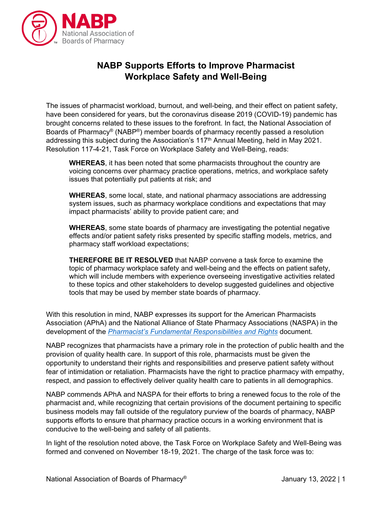

## **NABP Supports Efforts to Improve Pharmacist Workplace Safety and Well-Being**

The issues of pharmacist workload, burnout, and well-being, and their effect on patient safety, have been considered for years, but the coronavirus disease 2019 (COVID-19) pandemic has brought concerns related to these issues to the forefront. In fact, the National Association of Boards of Pharmacy® (NABP®) member boards of pharmacy recently passed a resolution addressing this subject during the Association's 117<sup>th</sup> Annual Meeting, held in May 2021. Resolution 117-4-21, Task Force on Workplace Safety and Well-Being, reads:

**WHEREAS**, it has been noted that some pharmacists throughout the country are voicing concerns over pharmacy practice operations, metrics, and workplace safety issues that potentially put patients at risk; and

**WHEREAS**, some local, state, and national pharmacy associations are addressing system issues, such as pharmacy workplace conditions and expectations that may impact pharmacists' ability to provide patient care; and

**WHEREAS**, some state boards of pharmacy are investigating the potential negative effects and/or patient safety risks presented by specific staffing models, metrics, and pharmacy staff workload expectations;

**THEREFORE BE IT RESOLVED** that NABP convene a task force to examine the topic of pharmacy workplace safety and well-being and the effects on patient safety, which will include members with experience overseeing investigative activities related to these topics and other stakeholders to develop suggested guidelines and objective tools that may be used by member state boards of pharmacy.

With this resolution in mind, NABP expresses its support for the American Pharmacists Association (APhA) and the National Alliance of State Pharmacy Associations (NASPA) in the development of the *[Pharmacist's Fundamental Responsibilities and Rights](https://www.pharmacist.com/pharmacistsresponsibilities)* document.

NABP recognizes that pharmacists have a primary role in the protection of public health and the provision of quality health care. In support of this role, pharmacists must be given the opportunity to understand their rights and responsibilities and preserve patient safety without fear of intimidation or retaliation. Pharmacists have the right to practice pharmacy with empathy, respect, and passion to effectively deliver quality health care to patients in all demographics.

NABP commends APhA and NASPA for their efforts to bring a renewed focus to the role of the pharmacist and, while recognizing that certain provisions of the document pertaining to specific business models may fall outside of the regulatory purview of the boards of pharmacy, NABP supports efforts to ensure that pharmacy practice occurs in a working environment that is conducive to the well-being and safety of all patients.

In light of the resolution noted above, the Task Force on Workplace Safety and Well-Being was formed and convened on November 18-19, 2021. The charge of the task force was to: